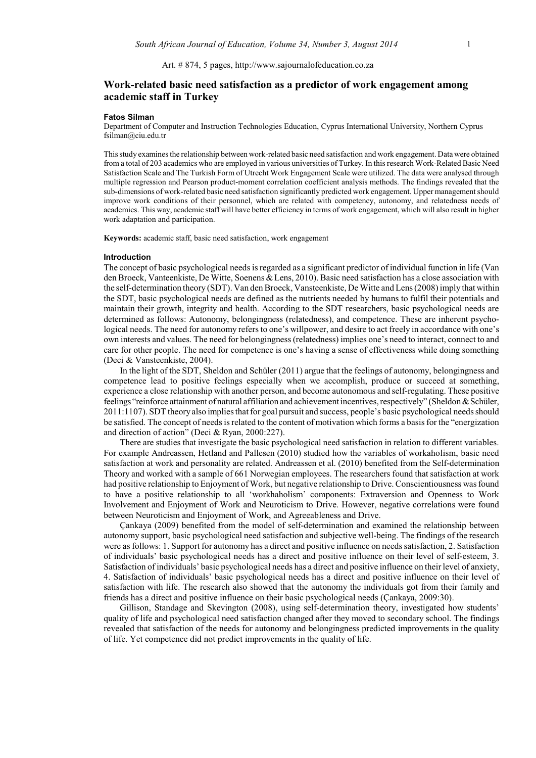Art. # 874, 5 pages, http://www.sajournalofeducation.co.za

# **Work-related basic need satisfaction as a predictor of work engagement among academic staff in Turkey**

#### **Fatos Silman**

Department of Computer and Instruction Technologies Education, Cyprus International University, Northern Cyprus fsilman@ciu.edu.tr

This study examines the relationship between work-related basic need satisfaction and work engagement. Data were obtained from a total of 203 academics who are employed in various universities of Turkey. In this research Work-Related Basic Need Satisfaction Scale and The Turkish Form of Utrecht Work Engagement Scale were utilized. The data were analysed through multiple regression and Pearson product-moment correlation coefficient analysis methods. The findings revealed that the sub-dimensions of work-related basic need satisfaction significantly predicted work engagement. Upper management should improve work conditions of their personnel, which are related with competency, autonomy, and relatedness needs of academics. This way, academic staff will have better efficiency in terms of work engagement, which will also result in higher work adaptation and participation.

**Keywords:** academic staff, basic need satisfaction, work engagement

#### **Introduction**

The concept of basic psychological needs is regarded as a significant predictor of individual function in life (Van den Broeck, Vanteenkiste, De Witte, Soenens & Lens, 2010). Basic need satisfaction has a close association with the self-determination theory (SDT). Van den Broeck, Vansteenkiste, De Witte and Lens (2008) imply that within the SDT, basic psychological needs are defined as the nutrients needed by humans to fulfil their potentials and maintain their growth, integrity and health. According to the SDT researchers, basic psychological needs are determined as follows: Autonomy, belongingness (relatedness), and competence. These are inherent psychological needs. The need for autonomy refers to one's willpower, and desire to act freely in accordance with one's own interests and values. The need for belongingness (relatedness) implies one's need to interact, connect to and care for other people. The need for competence is one's having a sense of effectiveness while doing something (Deci & Vansteenkiste, 2004).

In the light of the SDT, Sheldon and Schüler (2011) argue that the feelings of autonomy, belongingness and competence lead to positive feelings especially when we accomplish, produce or succeed at something, experience a close relationship with another person, and become autonomous and self-regulating. These positive feelings "reinforce attainment of natural affiliation and achievement incentives, respectively" (Sheldon &Schüler, 2011:1107). SDT theory also implies that for goal pursuit and success, people's basic psychological needs should be satisfied. The concept of needs is related to the content of motivation which forms a basis for the "energization and direction of action" (Deci & Ryan, 2000:227).

There are studies that investigate the basic psychological need satisfaction in relation to different variables. For example Andreassen, Hetland and Pallesen (2010) studied how the variables of workaholism, basic need satisfaction at work and personality are related. Andreassen et al. (2010) benefited from the Self-determination Theory and worked with a sample of 661 Norwegian employees. The researchers found that satisfaction at work had positive relationship to Enjoyment of Work, but negative relationship to Drive. Conscientiousness was found to have a positive relationship to all 'workhaholism' components: Extraversion and Openness to Work Involvement and Enjoyment of Work and Neuroticism to Drive. However, negative correlations were found between Neuroticism and Enjoyment of Work, and Agreeableness and Drive.

Çankaya (2009) benefited from the model of self-determination and examined the relationship between autonomy support, basic psychological need satisfaction and subjective well-being. The findings of the research were as follows: 1. Support for autonomy has a direct and positive influence on needs satisfaction, 2. Satisfaction of individuals' basic psychological needs has a direct and positive influence on their level of self-esteem, 3. Satisfaction of individuals' basic psychological needs has a direct and positive influence on their level of anxiety, 4. Satisfaction of individuals' basic psychological needs has a direct and positive influence on their level of satisfaction with life. The research also showed that the autonomy the individuals got from their family and friends has a direct and positive influence on their basic psychological needs (Çankaya, 2009:30).

Gillison, Standage and Skevington (2008), using self-determination theory, investigated how students' quality of life and psychological need satisfaction changed after they moved to secondary school. The findings revealed that satisfaction of the needs for autonomy and belongingness predicted improvements in the quality of life. Yet competence did not predict improvements in the quality of life.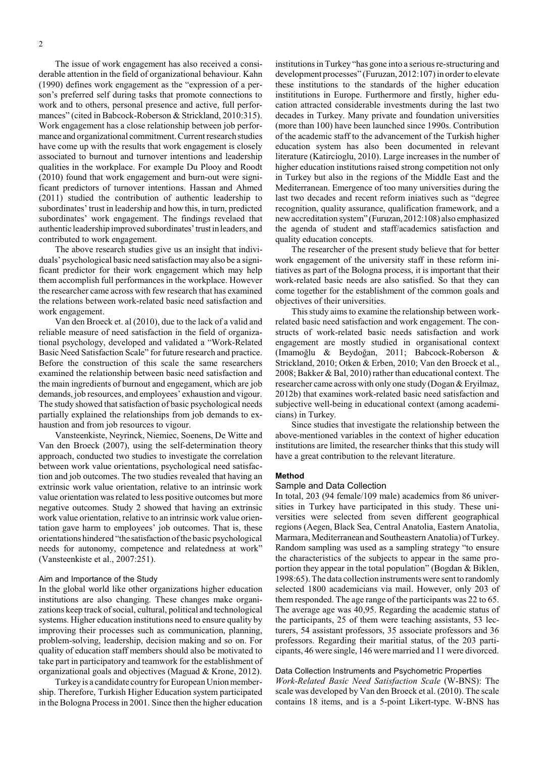The issue of work engagement has also received a considerable attention in the field of organizational behaviour. Kahn (1990) defines work engagement as the "expression of a person's preferred self during tasks that promote connections to work and to others, personal presence and active, full performances" (cited in Babcock-Roberson & Strickland, 2010:315). Work engagement has a close relationship between job performance and organizational commitment. Current research studies have come up with the results that work engagement is closely associated to burnout and turnover intentions and leadership qualities in the workplace. For example Du Plooy and Roodt (2010) found that work engagement and burn-out were significant predictors of turnover intentions. Hassan and Ahmed (2011) studied the contribution of authentic leadership to subordinates' trust in leadership and how this, in turn, predicted subordinates' work engagement. The findings revelaed that authentic leadership improved subordinates'trustin leaders, and contributed to work engagement.

The above research studies give us an insight that individuals' psychological basic need satisfaction may also be a significant predictor for their work engagement which may help them accomplish full performances in the workplace. However the researcher came across with few research that has examined the relations between work-related basic need satisfaction and work engagement.

Van den Broeck et. al (2010), due to the lack of a valid and reliable measure of need satisfaction in the field of organizational psychology, developed and validated a "Work-Related Basic Need Satisfaction Scale" for future research and practice. Before the construction of this scale the same researchers examined the relationship between basic need satisfaction and the main ingredients of burnout and engegament, which are job demands, job resources, and employees' exhaustion and vigour. The study showed that satisfaction of basic psychological needs partially explained the relationships from job demands to exhaustion and from job resources to vigour.

Vansteenkiste, Neyrinck, Niemiec, Soenens, De Witte and Van den Broeck (2007), using the self-determination theory approach, conducted two studies to investigate the correlation between work value orientations, psychological need satisfaction and job outcomes. The two studies revealed that having an extrinsic work value orientation, relative to an intrinsic work value orientation was related to less positive outcomes but more negative outcomes. Study 2 showed that having an extrinsic work value orientation, relative to an intrinsic work value orientation gave harm to employees' job outcomes. That is, these orientations hindered "the satisfaction of the basic psychological needs for autonomy, competence and relatedness at work" (Vansteenkiste et al., 2007:251).

### Aim and Importance of the Study

In the global world like other organizations higher education institutions are also changing. These changes make organizations keep track of social, cultural, political and technological systems. Higher education institutions need to ensure quality by improving their processes such as communication, planning, problem-solving, leadership, decision making and so on. For quality of education staff members should also be motivated to take part in participatory and teamwork for the establishment of organizational goals and objectives (Maguad & Krone, 2012).

Turkey is a candidate country for European Union membership. Therefore, Turkish Higher Education system participated in the Bologna Process in 2001. Since then the higher education

institutions in Turkey "has gone into a serious re-structuring and development processes" (Furuzan, 2012:107) in order to elevate these institutions to the standards of the higher education instititutions in Europe. Furthermore and firstly, higher education attracted considerable investments during the last two decades in Turkey. Many private and foundation universities (more than 100) have been launched since 1990s. Contribution of the academic staff to the advancement of the Turkish higher education system has also been documented in relevant literature (Katircioglu, 2010). Large increases in the number of higher education institutions raised strong competition not only in Turkey but also in the regions of the Middle East and the Mediterranean. Emergence of too many universities during the last two decades and recent reform iniatives such as "degree recognition, quality assurance, qualification framework, and a newaccreditation system" (Furuzan, 2012:108) also emphasized the agenda of student and staff/academics satisfaction and quality education concepts.

The researcher of the present study believe that for better work engagement of the university staff in these reform initiatives as part of the Bologna process, it is important that their work-related basic needs are also satisfied. So that they can come together for the establishment of the common goals and objectives of their universities.

This study aims to examine the relationship between workrelated basic need satisfaction and work engagement. The constructs of work-related basic needs satisfaction and work engagement are mostly studied in organisational context (Imamoðlu & Beydoðan, 2011; Babcock-Roberson & Strickland, 2010; Otken & Erben, 2010; Van den Broeck et al., 2008; Bakker & Bal, 2010) rather than educational context. The researcher came across with only one study (Dogan& Eryilmaz, 2012b) that examines work-related basic need satisfaction and subjective well-being in educational context (among academicians) in Turkey.

Since studies that investigate the relationship between the above-mentioned variables in the context of higher education institutions are limited, the researcher thinks that this study will have a great contribution to the relevant literature.

#### **Method**

#### Sample and Data Collection

In total, 203 (94 female/109 male) academics from 86 universities in Turkey have participated in this study. These universities were selected from seven different geographical regions (Aegen, Black Sea, Central Anatolia, Eastern Anatolia, Marmara, Mediterranean and Southeastern Anatolia) of Turkey. Random sampling was used as a sampling strategy "to ensure the characteristics of the subjects to appear in the same proportion they appear in the total population" (Bogdan & Biklen, 1998:65). The data collection instruments were sent to randomly selected 1800 academicians via mail. However, only 203 of them responded. The age range of the participants was 22 to 65. The average age was 40,95. Regarding the academic status of the participants, 25 of them were teaching assistants, 53 lecturers, 54 assistant professors, 35 associate professors and 36 professors. Regarding their maritial status, of the 203 participants, 46 were single, 146 were married and 11 were divorced.

Data Collection Instruments and Psychometric Properties *Work-Related Basic Need Satisfaction Scale* (W-BNS): The scale was developed by Van den Broeck et al. (2010). The scale contains 18 items, and is a 5-point Likert-type. W-BNS has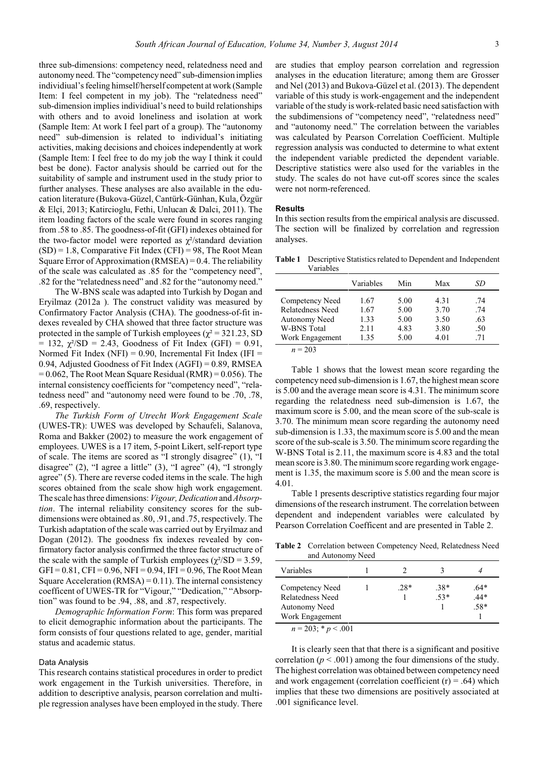three sub-dimensions: competency need, relatedness need and autonomy need. The "competency need" sub-dimension implies individiual's feeling himself/herself competent at work (Sample Item: I feel competent in my job). The "relatedness need" sub-dimension implies individiual's need to build relationships with others and to avoid loneliness and isolation at work (Sample Item: At work I feel part of a group). The "autonomy need" sub-dimension is related to individual's initiating activities, making decisions and choices independently at work (Sample Item: I feel free to do my job the way I think it could best be done). Factor analysis should be carried out for the suitability of sample and instrument used in the study prior to further analyses. These analyses are also available in the education literature (Bukova-Güzel, Cantürk-Günhan, Kula, Özgür & Elçí, 2013; Katircioglu, Fethi, Unlucan & Dalci, 2011). The item loading factors of the scale were found in scores ranging from .58 to .85. The goodness-of-fit (GFI) indexes obtained for the two-factor model were reported as  $\chi^2$ /standard deviation (SD) = 1.8, Comparative Fit Index (CFI) = 98, The Root Mean Square Error of Approximation (RMSEA) = 0.4. The reliability of the scale was calculated as .85 for the "competency need", .82 for the "relatedness need" and .82 for the "autonomy need."

The W-BNS scale was adapted into Turkish by Dogan and Eryilmaz (2012a ). The construct validity was measured by Confirmatory Factor Analysis (CHA). The goodness-of-fit indexes revealed by CHA showed that three factor structure was protected in the sample of Turkish employees ( $\chi^2$  = 321.23, SD  $= 132$ ,  $\chi^2/\text{SD} = 2.43$ , Goodness of Fit Index (GFI) = 0.91, Normed Fit Index (NFI) =  $0.90$ , Incremental Fit Index (IFI = 0.94, Adjusted Goodness of Fit Index (AGFI) = 0.89, RMSEA  $= 0.062$ , The Root Mean Square Residual (RMR)  $= 0.056$ ). The internal consistency coefficients for "competency need", "relatedness need" and "autonomy need were found to be .70, .78, .69, respectively.

*The Turkish Form of Utrecht Work Engagement Scale* (UWES-TR): UWES was developed by Schaufeli, Salanova, Roma and Bakker (2002) to measure the work engagement of employees. UWES is a 17 item, 5-point Likert, self-report type of scale. The items are scored as "I strongly disagree" (1), "I disagree" (2), "I agree a little" (3), "I agree" (4), "I strongly agree" (5). There are reverse coded items in the scale. The high scores obtained from the scale show high work engagement. The scale has three dimensions: *Vigour, Dedication* and*Absorption*. The internal reliability consitency scores for the subdimensions were obtained as .80, .91, and .75, respectively. The Turkish adaptation of the scale was carried out by Eryilmaz and Dogan (2012). The goodness fix indexes revealed by confirmatory factor analysis confirmed the three factor structure of the scale with the sample of Turkish employees ( $\chi^2$ /SD = 3.59,  $GFI = 0.81$ ,  $CFI = 0.96$ ,  $NFI = 0.94$ ,  $IFI = 0.96$ , The Root Mean Square Acceleration  $(RMSA) = 0.11$ . The internal consistency coefficent of UWES-TR for "Vigour," "Dedication," "Absorption" was found to be .94, .88, and .87, respectively.

*Demographic Information Form*: This form was prepared to elicit demographic information about the participants. The form consists of four questions related to age, gender, maritial status and academic status.

#### Data Analysis

This research contains statistical procedures in order to predict work engagement in the Turkish universities. Therefore, in addition to descriptive analysis, pearson correlation and multiple regression analyses have been employed in the study. There

are studies that employ pearson correlation and regression analyses in the education literature; among them are Grosser and Nel (2013) and Bukova-Güzel et al. (2013). The dependent variable of this study is work-engagement and the independent variable of the study is work-related basic need satisfaction with the subdimensions of "competency need", "relatedness need" and "autonomy need." The correlation between the variables was calculated by Pearson Correlation Coefficient. Multiple regression analysis was conducted to determine to what extent the independent variable predicted the dependent variable. Descriptive statistics were also used for the variables in the study. The scales do not have cut-off scores since the scales were not norm-referenced.

#### **Results**

In this section results from the empirical analysis are discussed. The section will be finalized by correlation and regression analyses.

**Table 1** Descriptive Statistics related to Dependent and Independent Variables

|                    | Variables | Min  | Max  | SD  |
|--------------------|-----------|------|------|-----|
| Competency Need    | 1.67      | 5.00 | 4.31 | .74 |
| Relatedness Need   | 1.67      | 5.00 | 3.70 | .74 |
| Autonomy Need      | 1.33      | 5.00 | 3.50 | .63 |
| <b>W-BNS Total</b> | 2.11      | 4.83 | 3.80 | .50 |
| Work Engagement    | 1.35      | 5.00 | 4.01 | .71 |

 $n = 203$ 

Table 1 shows that the lowest mean score regarding the competency need sub-dimension is 1.67, the highest mean score is 5.00 and the average mean score is 4.31. The minimum score regarding the relatedness need sub-dimension is 1.67, the maximum score is 5.00, and the mean score of the sub-scale is 3.70. The minimum mean score regarding the autonomy need sub-dimension is 1.33, the maximum score is 5.00 and the mean score of the sub-scale is 3.50. The minimum score regarding the W-BNS Total is 2.11, the maximum score is 4.83 and the total mean score is 3.80. The minimumscore regarding work engagement is 1.35, the maximum score is 5.00 and the mean score is 4.01.

Table 1 presents descriptive statistics regarding four major dimensions of the research instrument. The correlation between dependent and independent variables were calculated by Pearson Correlation Coefficent and are presented in Table 2.

**Table 2** Correlation between Competency Need, Relatedness Need and Autonomy Need

| Variables                                                               |        |                  |                          |
|-------------------------------------------------------------------------|--------|------------------|--------------------------|
| Competency Need<br>Relatedness Need<br>Autonomy Need<br>Work Engagement | $.28*$ | $.38*$<br>$.53*$ | .64*<br>$.44*$<br>$.58*$ |

*n* = 203; \* *p* < .001

It is clearly seen that that there is a significant and positive correlation  $(p < .001)$  among the four dimensions of the study. The highest correlation was obtained between competency need and work engagement (correlation coefficient  $(r) = .64$ ) which implies that these two dimensions are positively associated at .001 significance level.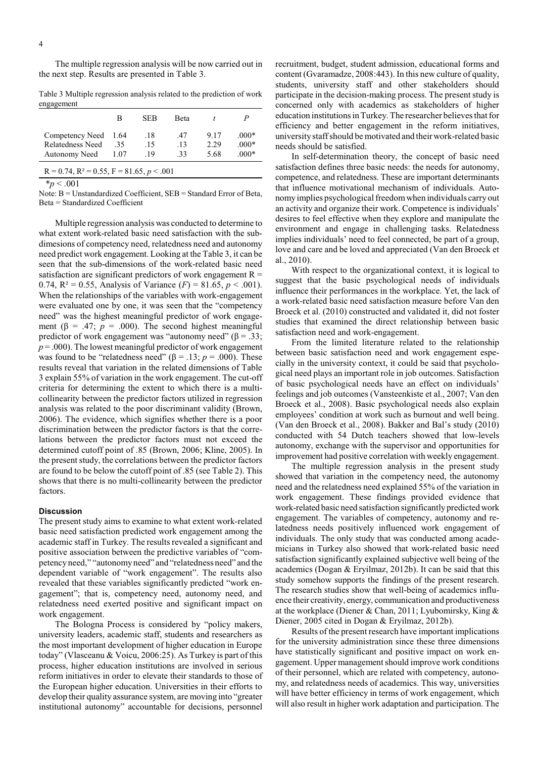The multiple regression analysis will be now carried out in the next step. Results are presented in Table 3.

Table 3 Multiple regression analysis related to the prediction of work engagement

|                                                           | В           | <b>SEB</b>        | <b>Beta</b>       |                      |                               |  |  |
|-----------------------------------------------------------|-------------|-------------------|-------------------|----------------------|-------------------------------|--|--|
| Competency Need 1.64<br>Relatedness Need<br>Autonomy Need | -35<br>1.07 | .18<br>.15<br>.19 | .47<br>.13<br>.33 | 9.17<br>2.29<br>5.68 | $.000*$<br>$.000*$<br>$.000*$ |  |  |
| $R = 0.74$ , $R^2 = 0.55$ , $F = 81.65$ , $p < .001$      |             |                   |                   |                      |                               |  |  |

\**p* < .001

Note: B = Unstandardized Coefficient, SEB = Standard Error of Beta, Beta = Standardized Coefficient

Multiple regression analysis was conducted to determine to what extent work-related basic need satisfaction with the subdimesions of competency need, relatedness need and autonomy need predict work engagement. Looking at the Table 3, it can be seen that the sub-dimensions of the work-related basic need satisfaction are significant predictors of work engagement  $R =$ 0.74,  $R^2 = 0.55$ , Analysis of Variance  $(F) = 81.65$ ,  $p < .001$ ). When the relationships of the variables with work-engagement were evaluated one by one, it was seen that the "competency need" was the highest meaningful predictor of work engagement ( $\beta$  = .47; *p* = .000). The second highest meaningful predictor of work engagement was "autonomy need" ( $\beta$  = .33;  $p = .000$ ). The lowest meaningful predictor of work engagement was found to be "relatedness need" ( $\beta$  = .13; *p* = .000). These results reveal that variation in the related dimensions of Table 3 explain 55% of variation in the work engagement. The cut-off criteria for determining the extent to which there is a multicollinearity between the predictor factors utilized in regression analysis was related to the poor discriminant validity (Brown, 2006). The evidence, which signifies whether there is a poor discrimination between the predictor factors is that the correlations between the predictor factors must not exceed the determined cutoff point of .85 (Brown, 2006; Kline, 2005). In the present study, the correlations between the predictor factors are found to be below the cutoff point of .85 (see Table 2). This shows that there is no multi-collinearity between the predictor factors.

## **Discussion**

The present study aims to examine to what extent work-related basic need satisfaction predicted work engagement among the academic staff in Turkey. The results revealed a significant and positive association between the predictive variables of "competency need," "autonomy need" and "relatedness need" and the dependent variable of "work engagement". The results also revealed that these variables significantly predicted "work engagement"; that is, competency need, autonomy need, and relatedness need exerted positive and significant impact on work engagement.

The Bologna Process is considered by "policy makers, university leaders, academic staff, students and researchers as the most important development of higher education in Europe today" (Vlasceanu & Voicu, 2006:25). As Turkey is part of this process, higher education institutions are involved in serious reform initiatives in order to elevate their standards to those of the European higher education. Universities in their efforts to develop their quality assurance system, are moving into "greater institutional autonomy" accountable for decisions, personnel

recruitment, budget, student admission, educational forms and content (Gvaramadze, 2008:443). In this new culture of quality, students, university staff and other stakeholders should participate in the decision-making process. The present study is concerned only with academics as stakeholders of higher education institutions in Turkey. The researcher believes that for efficiency and better engagement in the reform initiatives, university staff should be motivated and their work-related basic needs should be satisfied.

In self-determination theory, the concept of basic need satisfaction defines three basic needs: the needs for autonomy, competence, and relatedness. These are important determinants that influence motivational mechanism of individuals. Autonomy implies psychological freedomwhen individuals carry out an activity and organize their work. Competence is individuals' desires to feel effective when they explore and manipulate the environment and engage in challenging tasks. Relatedness implies individuals' need to feel connected, be part of a group, love and care and be loved and appreciated (Van den Broeck et al., 2010).

With respect to the organizational context, it is logical to suggest that the basic psychological needs of individuals influence their performances in the workplace. Yet, the lack of a work-related basic need satisfaction measure before Van den Broeck et al. (2010) constructed and validated it, did not foster studies that examined the direct relationship between basic satisfaction need and work-engagement.

From the limited literature related to the relationship between basic satisfaction need and work engagement especially in the university context, it could be said that psychological need plays an important role in job outcomes. Satisfaction of basic psychological needs have an effect on individuals' feelings and job outcomes (Vansteenkiste et al., 2007; Van den Broeck et al., 2008). Basic psychological needs also explain employees' condition at work such as burnout and well being. (Van den Broeck et al., 2008). Bakker and Bal's study (2010) conducted with 54 Dutch teachers showed that low-levels autonomy, exchange with the supervisor and opportunities for improvement had positive correlation with weekly engagement.

The multiple regression analysis in the present study showed that variation in the competency need, the autonomy need and the relatedness need explained 55% of the variation in work engagement. These findings provided evidence that work-related basic need satisfaction significantlypredicted work engagement. The variables of competency, autonomy and relatedness needs positively influenced work engagement of individuals. The only study that was conducted among academicians in Turkey also showed that work-related basic need satisfaction significantly explained subjective well being of the academics (Dogan & Eryilmaz, 2012b). It can be said that this study somehow supports the findings of the present research. The research studies show that well-being of academics influence their creativity, energy, communication and productiveness at the workplace (Diener & Chan, 2011; Lyubomirsky, King & Diener, 2005 cited in Dogan & Eryilmaz, 2012b).

Results of the present research have important implications for the university administration since these three dimensions have statistically significant and positive impact on work engagement. Upper management should improve work conditions of their personnel, which are related with competency, autonomy, and relatedness needs of academics. This way, universities will have better efficiency in terms of work engagement, which will also result in higher work adaptation and participation. The